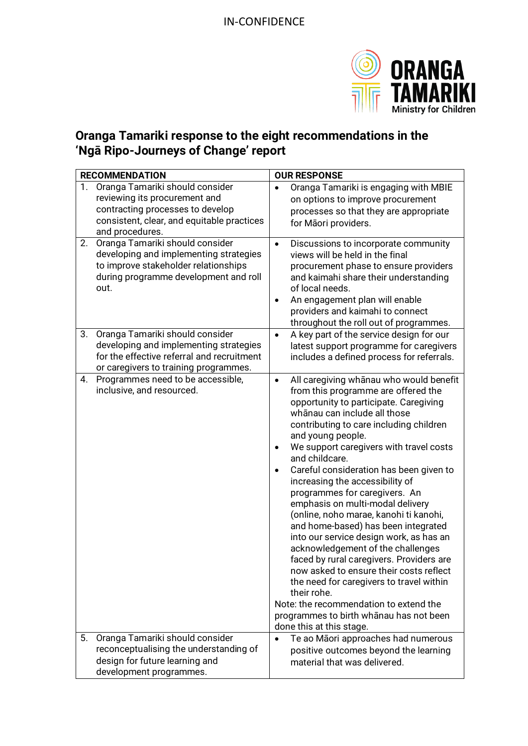

## **Oranga Tamariki response to the eight recommendations in the 'Ngā Ripo-Journeys of Change' report**

| <b>RECOMMENDATION</b> |                                                                                                                                                                       | <b>OUR RESPONSE</b>                                                                                                                                                                                                                                                                                                                                                                                                                                                                                                                                                                                                                                                                                                                                                                                                                                                                                    |
|-----------------------|-----------------------------------------------------------------------------------------------------------------------------------------------------------------------|--------------------------------------------------------------------------------------------------------------------------------------------------------------------------------------------------------------------------------------------------------------------------------------------------------------------------------------------------------------------------------------------------------------------------------------------------------------------------------------------------------------------------------------------------------------------------------------------------------------------------------------------------------------------------------------------------------------------------------------------------------------------------------------------------------------------------------------------------------------------------------------------------------|
| 1.                    | Oranga Tamariki should consider<br>reviewing its procurement and<br>contracting processes to develop<br>consistent, clear, and equitable practices<br>and procedures. | Oranga Tamariki is engaging with MBIE<br>on options to improve procurement<br>processes so that they are appropriate<br>for Māori providers.                                                                                                                                                                                                                                                                                                                                                                                                                                                                                                                                                                                                                                                                                                                                                           |
| 2.                    | Oranga Tamariki should consider<br>developing and implementing strategies<br>to improve stakeholder relationships<br>during programme development and roll<br>out.    | Discussions to incorporate community<br>$\bullet$<br>views will be held in the final<br>procurement phase to ensure providers<br>and kaimahi share their understanding<br>of local needs.<br>An engagement plan will enable<br>$\bullet$<br>providers and kaimahi to connect<br>throughout the roll out of programmes.                                                                                                                                                                                                                                                                                                                                                                                                                                                                                                                                                                                 |
| 3.                    | Oranga Tamariki should consider<br>developing and implementing strategies<br>for the effective referral and recruitment<br>or caregivers to training programmes.      | A key part of the service design for our<br>$\bullet$<br>latest support programme for caregivers<br>includes a defined process for referrals.                                                                                                                                                                                                                                                                                                                                                                                                                                                                                                                                                                                                                                                                                                                                                          |
| 4.                    | Programmes need to be accessible,<br>inclusive, and resourced.                                                                                                        | All caregiving whanau who would benefit<br>$\bullet$<br>from this programme are offered the<br>opportunity to participate. Caregiving<br>whānau can include all those<br>contributing to care including children<br>and young people.<br>We support caregivers with travel costs<br>$\bullet$<br>and childcare.<br>Careful consideration has been given to<br>increasing the accessibility of<br>programmes for caregivers. An<br>emphasis on multi-modal delivery<br>(online, noho marae, kanohi ti kanohi,<br>and home-based) has been integrated<br>into our service design work, as has an<br>acknowledgement of the challenges<br>faced by rural caregivers. Providers are<br>now asked to ensure their costs reflect<br>the need for caregivers to travel within<br>their rohe.<br>Note: the recommendation to extend the<br>programmes to birth whanau has not been<br>done this at this stage. |
| 5.                    | Oranga Tamariki should consider<br>reconceptualising the understanding of<br>design for future learning and<br>development programmes.                                | Te ao Māori approaches had numerous<br>$\bullet$<br>positive outcomes beyond the learning<br>material that was delivered.                                                                                                                                                                                                                                                                                                                                                                                                                                                                                                                                                                                                                                                                                                                                                                              |